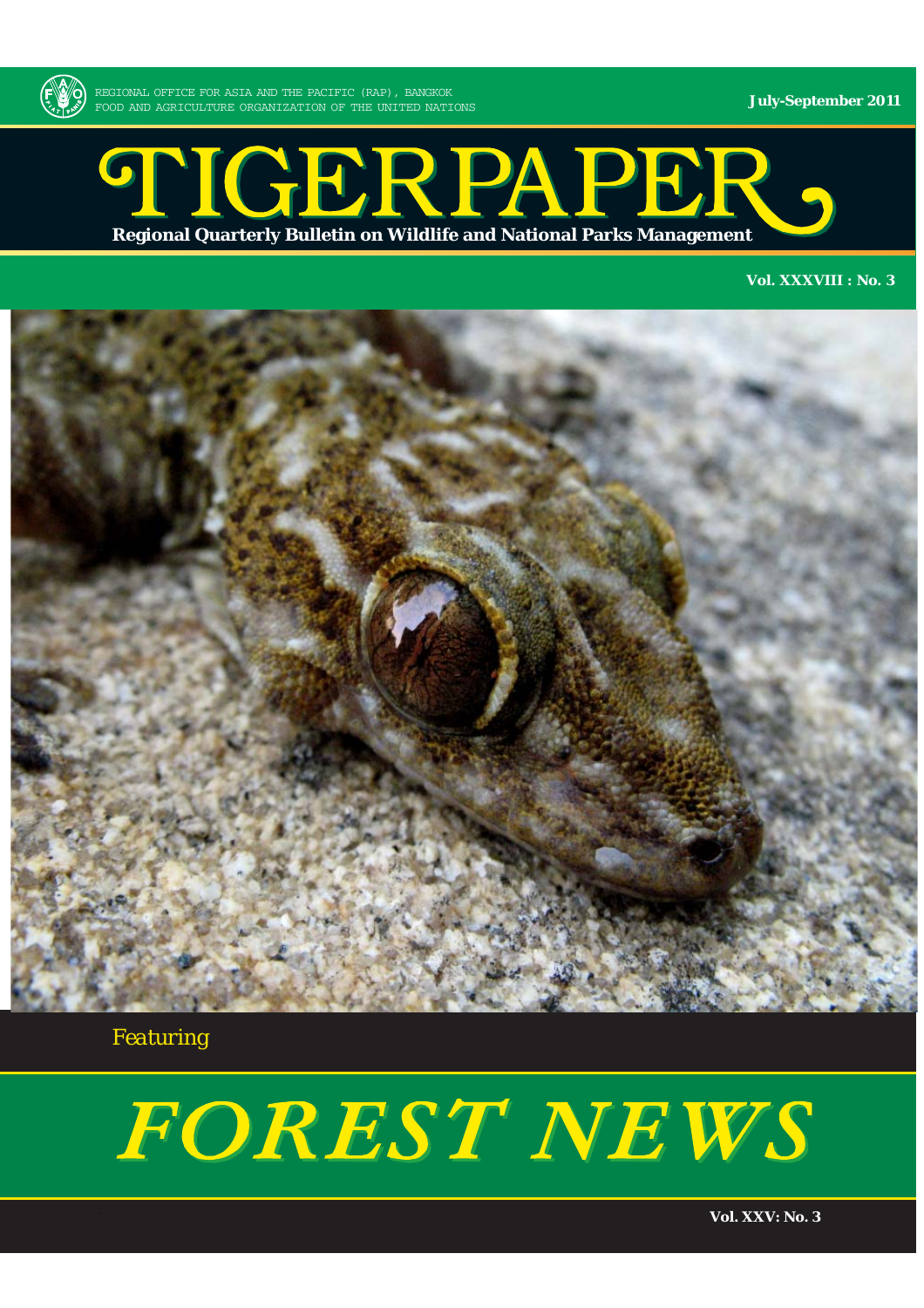

**July-September 2011**

## STIGERPAPER. **Regional Quarterly Bulletin on Wildlife and National Parks Management**

#### **Vol. XXXVIII : No. 3**



*Featuring*

# FOREST NEWS

**Vol. XXV: No. 3**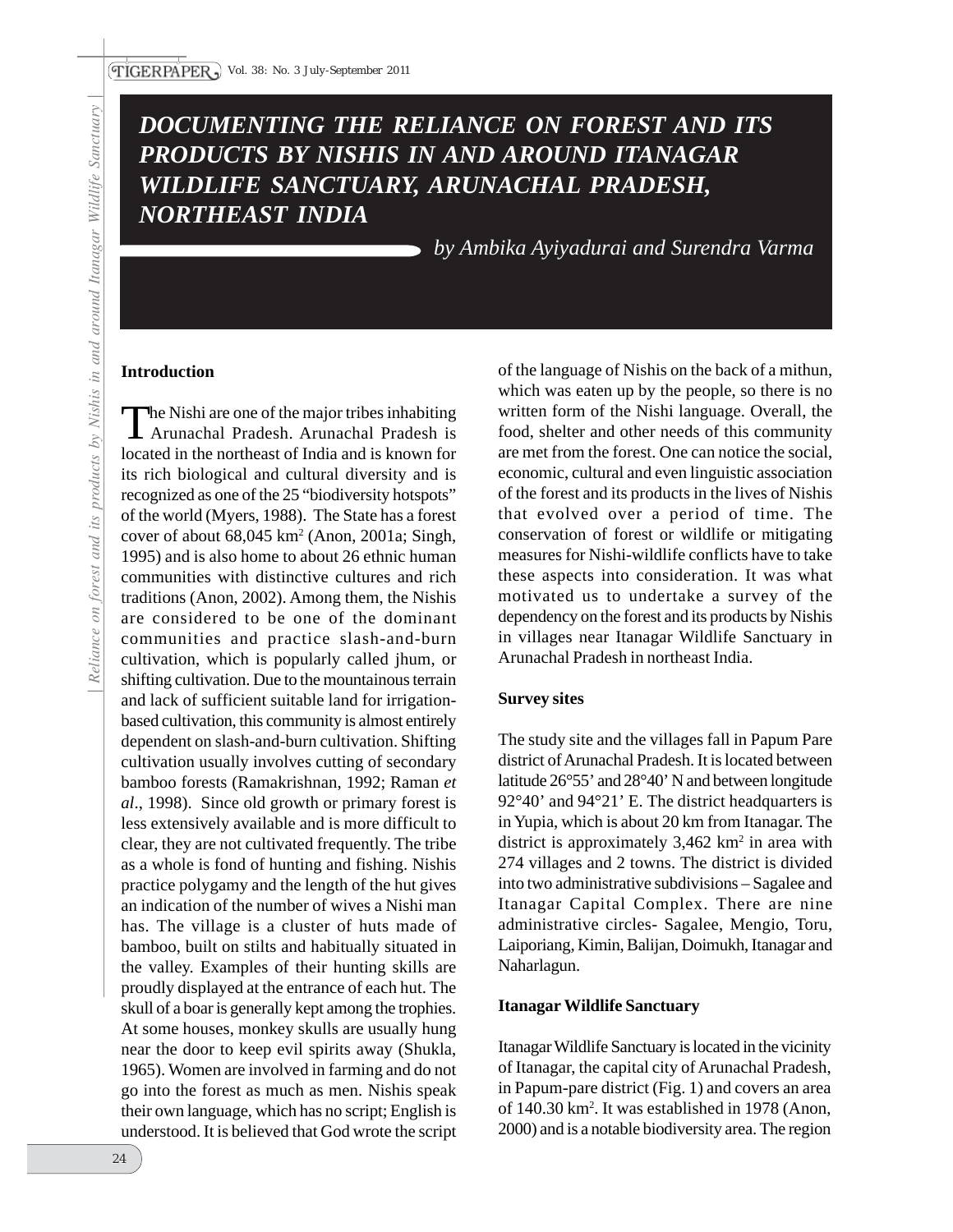### *DOCUMENTING THE RELIANCE ON FOREST AND ITS PRODUCTS BY NISHIS IN AND AROUND ITANAGAR WILDLIFE SANCTUARY, ARUNACHAL PRADESH, NORTHEAST INDIA*

*by Ambika Ayiyadurai and Surendra Varma*

#### **Introduction**

The Nishi are one of the major tribes inhabiting Arunachal Pradesh. Arunachal Pradesh is located in the northeast of India and is known for its rich biological and cultural diversity and is recognized as one of the 25 "biodiversity hotspots" of the world (Myers, 1988). The State has a forest cover of about  $68,045 \text{ km}^2$  (Anon, 2001a; Singh, 1995) and is also home to about 26 ethnic human communities with distinctive cultures and rich traditions (Anon, 2002). Among them, the Nishis are considered to be one of the dominant communities and practice slash-and-burn cultivation, which is popularly called jhum, or shifting cultivation. Due to the mountainous terrain and lack of sufficient suitable land for irrigationbased cultivation, this community is almost entirely dependent on slash-and-burn cultivation. Shifting cultivation usually involves cutting of secondary bamboo forests (Ramakrishnan, 1992; Raman *et al*., 1998). Since old growth or primary forest is less extensively available and is more difficult to clear, they are not cultivated frequently. The tribe as a whole is fond of hunting and fishing. Nishis practice polygamy and the length of the hut gives an indication of the number of wives a Nishi man has. The village is a cluster of huts made of bamboo, built on stilts and habitually situated in the valley. Examples of their hunting skills are proudly displayed at the entrance of each hut. The skull of a boar is generally kept among the trophies. At some houses, monkey skulls are usually hung near the door to keep evil spirits away (Shukla, 1965). Women are involved in farming and do not go into the forest as much as men. Nishis speak their own language, which has no script; English is understood. It is believed that God wrote the script

of the language of Nishis on the back of a mithun, which was eaten up by the people, so there is no written form of the Nishi language. Overall, the food, shelter and other needs of this community are met from the forest. One can notice the social, economic, cultural and even linguistic association of the forest and its products in the lives of Nishis that evolved over a period of time. The conservation of forest or wildlife or mitigating measures for Nishi-wildlife conflicts have to take these aspects into consideration. It was what motivated us to undertake a survey of the dependency on the forest and its products by Nishis in villages near Itanagar Wildlife Sanctuary in Arunachal Pradesh in northeast India.

#### **Survey sites**

The study site and the villages fall in Papum Pare district of Arunachal Pradesh. It is located between latitude 26°55' and 28°40' N and between longitude 92°40' and 94°21' E. The district headquarters is in Yupia, which is about 20 km from Itanagar. The district is approximately  $3,462 \text{ km}^2$  in area with 274 villages and 2 towns. The district is divided into two administrative subdivisions – Sagalee and Itanagar Capital Complex. There are nine administrative circles- Sagalee, Mengio, Toru, Laiporiang, Kimin, Balijan, Doimukh, Itanagar and Naharlagun.

#### **Itanagar Wildlife Sanctuary**

Itanagar Wildlife Sanctuary is located in the vicinity of Itanagar, the capital city of Arunachal Pradesh, in Papum-pare district (Fig. 1) and covers an area of 140.30 km2 . It was established in 1978 (Anon, 2000) and is a notable biodiversity area. The region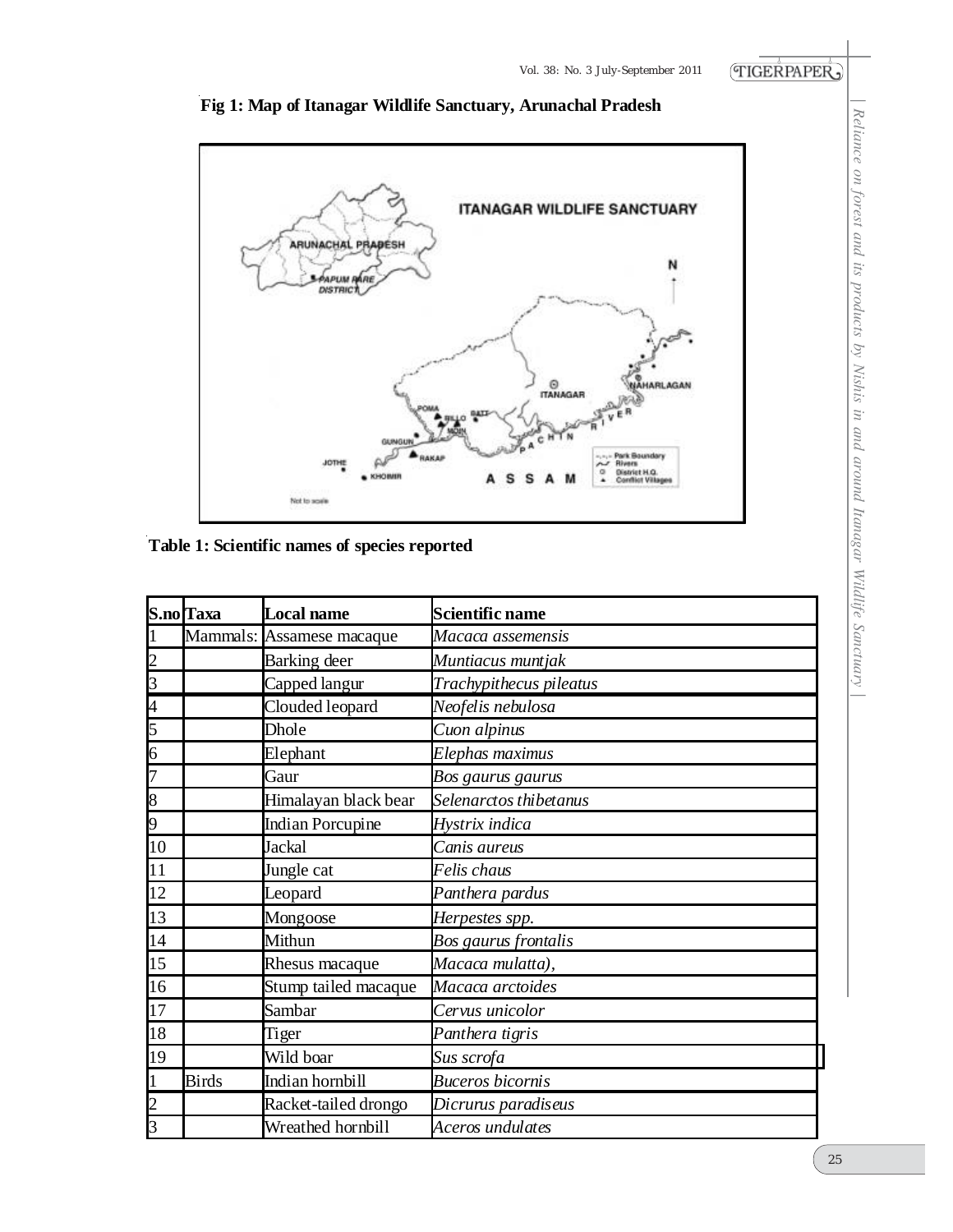

#### **Fig 1: Map of Itanagar Wildlife Sanctuary, Arunachal Pradesh**

**Table 1: Scientific names of species reported** 

|                         | S.no Taxa    | Local name                | Scientific name         |
|-------------------------|--------------|---------------------------|-------------------------|
|                         |              | Mammals: Assamese macaque | Macaca assemensis       |
|                         |              | Barking deer              | Muntiacus muntjak       |
| $\overline{\mathbf{3}}$ |              | Capped langur             | Trachypithecus pileatus |
| 4                       |              | Clouded leopard           | Neofelis nebulosa       |
| 5                       |              | Dhole                     | Cuon alpinus            |
| $\overline{6}$          |              | Elephant                  | Elephas maximus         |
| 7                       |              | Gaur                      | Bos gaurus gaurus       |
| 8                       |              | Himalayan black bear      | Selenarctos thibetanus  |
| 19                      |              | <b>Indian Porcupine</b>   | Hystrix indica          |
| 10                      |              | Jackal                    | Canis aureus            |
| 11                      |              | Jungle cat                | Felis chaus             |
| 12                      |              | Leopard                   | Panthera pardus         |
| 13                      |              | Mongoose                  | Herpestes spp.          |
| 14                      |              | Mithun                    | Bos gaurus frontalis    |
| 15                      |              | Rhesus macaque            | Macaca mulatta),        |
| 16                      |              | Stump tailed macaque      | Macaca arctoides        |
| 17                      |              | Sambar                    | Cervus unicolor         |
| 18                      |              | Tiger                     | Panthera tigris         |
| 19                      |              | Wild boar                 | Sus scrofa              |
|                         | <b>Birds</b> | Indian hornbill           | <b>Buceros bicornis</b> |
| $\overline{c}$          |              | Racket-tailed drongo      | Dicrurus paradiseus     |
| $\overline{3}$          |              | Wreathed hornbill         | Aceros undulates        |

 *| Reliance on forest and its products by Nishis in and around Itanagar Wildlife Sanctuary |*Reliance on forest and its products by Nishis in and around Itanagar Wildlife Sanctuary |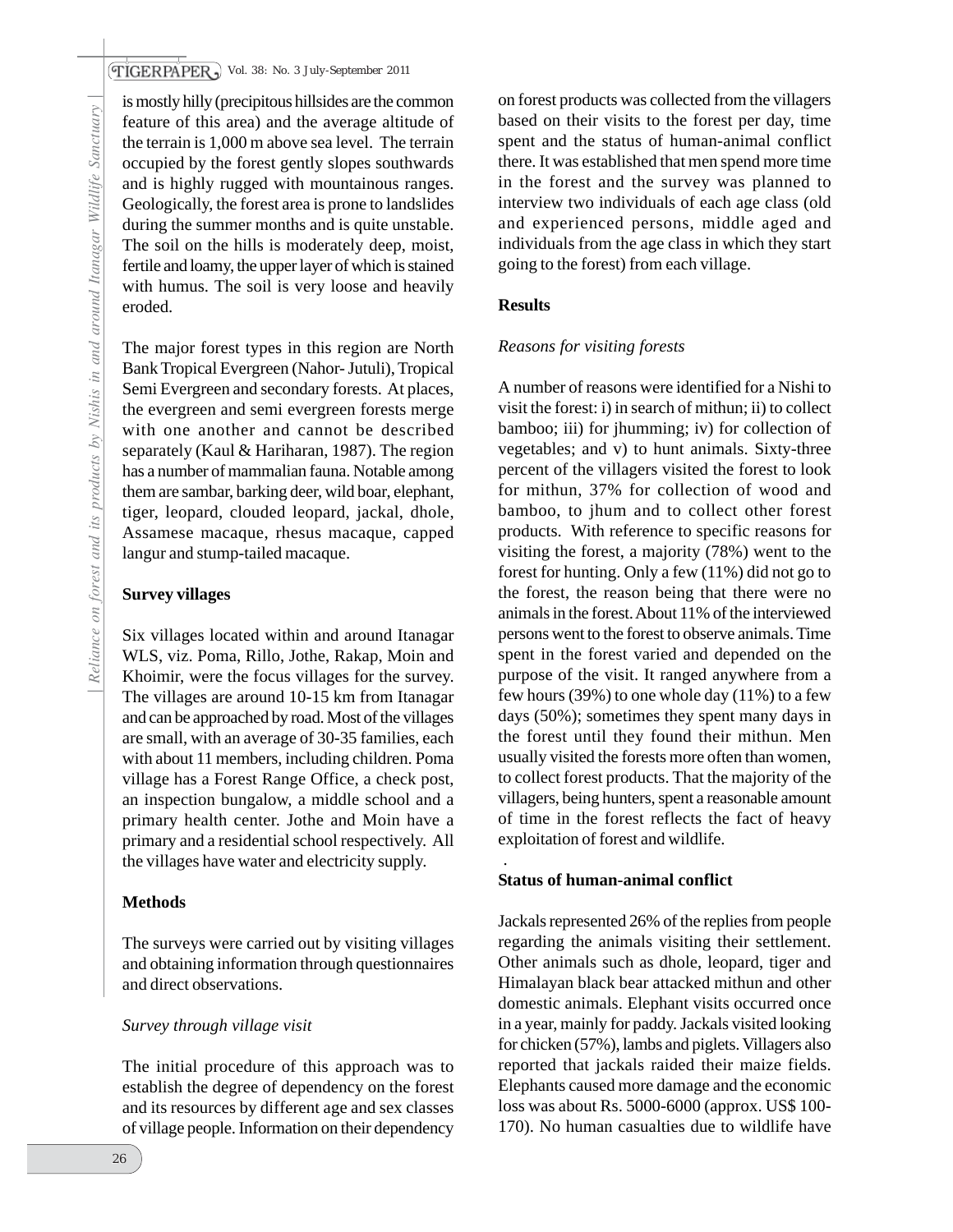#### *Vol. 38: No. 3 July-September 2011*

is mostly hilly (precipitous hillsides are the common feature of this area) and the average altitude of the terrain is 1,000 m above sea level. The terrain occupied by the forest gently slopes southwards and is highly rugged with mountainous ranges. Geologically, the forest area is prone to landslides during the summer months and is quite unstable. The soil on the hills is moderately deep, moist, fertile and loamy, the upper layer of which is stained with humus. The soil is very loose and heavily eroded.

The major forest types in this region are North Bank Tropical Evergreen (Nahor- Jutuli), Tropical Semi Evergreen and secondary forests. At places, the evergreen and semi evergreen forests merge with one another and cannot be described separately (Kaul & Hariharan, 1987). The region has a number of mammalian fauna. Notable among them are sambar, barking deer, wild boar, elephant, tiger, leopard, clouded leopard, jackal, dhole, Assamese macaque, rhesus macaque, capped langur and stump-tailed macaque.

#### **Survey villages**

Six villages located within and around Itanagar WLS, viz. Poma, Rillo, Jothe, Rakap, Moin and Khoimir, were the focus villages for the survey. The villages are around 10-15 km from Itanagar and can be approached by road. Most of the villages are small, with an average of 30-35 families, each with about 11 members, including children. Poma village has a Forest Range Office, a check post, an inspection bungalow, a middle school and a primary health center. Jothe and Moin have a primary and a residential school respectively. All the villages have water and electricity supply.

#### **Methods**

The surveys were carried out by visiting villages and obtaining information through questionnaires and direct observations.

#### *Survey through village visit*

The initial procedure of this approach was to establish the degree of dependency on the forest and its resources by different age and sex classes of village people. Information on their dependency

on forest products was collected from the villagers based on their visits to the forest per day, time spent and the status of human-animal conflict there. It was established that men spend more time in the forest and the survey was planned to interview two individuals of each age class (old and experienced persons, middle aged and individuals from the age class in which they start going to the forest) from each village.

#### **Results**

#### *Reasons for visiting forests*

A number of reasons were identified for a Nishi to visit the forest: i) in search of mithun; ii) to collect bamboo; iii) for jhumming; iv) for collection of vegetables; and v) to hunt animals. Sixty-three percent of the villagers visited the forest to look for mithun, 37% for collection of wood and bamboo, to jhum and to collect other forest products. With reference to specific reasons for visiting the forest, a majority (78%) went to the forest for hunting. Only a few (11%) did not go to the forest, the reason being that there were no animals in the forest. About 11% of the interviewed persons went to the forest to observe animals. Time spent in the forest varied and depended on the purpose of the visit. It ranged anywhere from a few hours (39%) to one whole day  $(11\%)$  to a few days (50%); sometimes they spent many days in the forest until they found their mithun. Men usually visited the forests more often than women, to collect forest products. That the majority of the villagers, being hunters, spent a reasonable amount of time in the forest reflects the fact of heavy exploitation of forest and wildlife.

#### **Status of human-animal conflict**

.

Jackals represented 26% of the replies from people regarding the animals visiting their settlement. Other animals such as dhole, leopard, tiger and Himalayan black bear attacked mithun and other domestic animals. Elephant visits occurred once in a year, mainly for paddy. Jackals visited looking for chicken (57%), lambs and piglets. Villagers also reported that jackals raided their maize fields. Elephants caused more damage and the economic loss was about Rs. 5000-6000 (approx. US\$ 100- 170). No human casualties due to wildlife have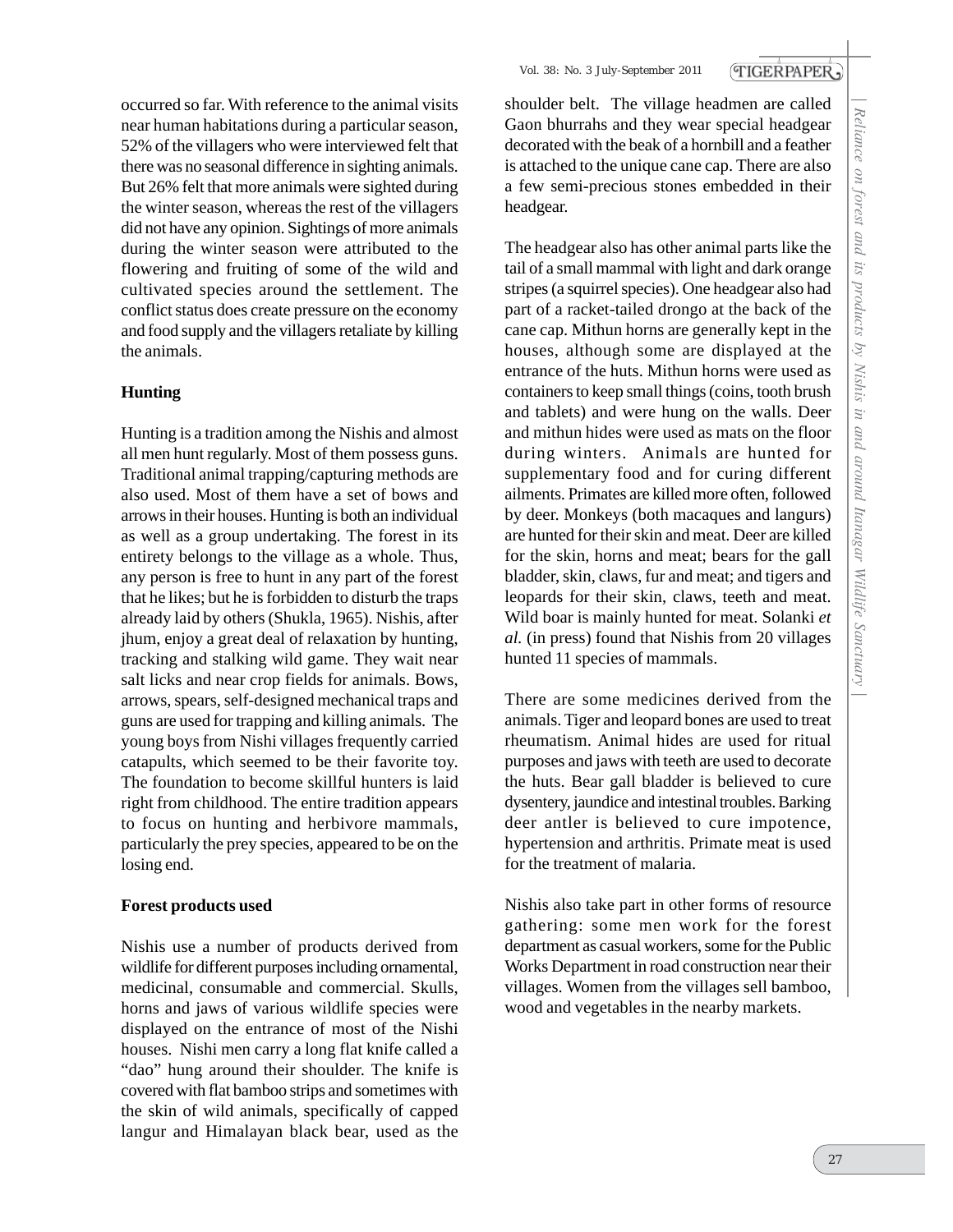occurred so far. With reference to the animal visits near human habitations during a particular season, 52% of the villagers who were interviewed felt that there was no seasonal difference in sighting animals. But 26% felt that more animals were sighted during the winter season, whereas the rest of the villagers did not have any opinion. Sightings of more animals during the winter season were attributed to the flowering and fruiting of some of the wild and cultivated species around the settlement. The conflict status does create pressure on the economy and food supply and the villagers retaliate by killing the animals.

#### **Hunting**

Hunting is a tradition among the Nishis and almost all men hunt regularly. Most of them possess guns. Traditional animal trapping/capturing methods are also used. Most of them have a set of bows and arrows in their houses. Hunting is both an individual as well as a group undertaking. The forest in its entirety belongs to the village as a whole. Thus, any person is free to hunt in any part of the forest that he likes; but he is forbidden to disturb the traps already laid by others (Shukla, 1965). Nishis, after jhum, enjoy a great deal of relaxation by hunting, tracking and stalking wild game. They wait near salt licks and near crop fields for animals. Bows, arrows, spears, self-designed mechanical traps and guns are used for trapping and killing animals. The young boys from Nishi villages frequently carried catapults, which seemed to be their favorite toy. The foundation to become skillful hunters is laid right from childhood. The entire tradition appears to focus on hunting and herbivore mammals, particularly the prey species, appeared to be on the losing end.

#### **Forest products used**

Nishis use a number of products derived from wildlife for different purposes including ornamental, medicinal, consumable and commercial. Skulls, horns and jaws of various wildlife species were displayed on the entrance of most of the Nishi houses. Nishi men carry a long flat knife called a "dao" hung around their shoulder. The knife is covered with flat bamboo strips and sometimes with the skin of wild animals, specifically of capped langur and Himalayan black bear, used as the shoulder belt. The village headmen are called Gaon bhurrahs and they wear special headgear decorated with the beak of a hornbill and a feather is attached to the unique cane cap. There are also a few semi-precious stones embedded in their headgear.

TIGERPAPER,

The headgear also has other animal parts like the tail of a small mammal with light and dark orange stripes (a squirrel species). One headgear also had part of a racket-tailed drongo at the back of the cane cap. Mithun horns are generally kept in the houses, although some are displayed at the entrance of the huts. Mithun horns were used as containers to keep small things (coins, tooth brush and tablets) and were hung on the walls. Deer and mithun hides were used as mats on the floor during winters. Animals are hunted for supplementary food and for curing different ailments. Primates are killed more often, followed by deer. Monkeys (both macaques and langurs) are hunted for their skin and meat. Deer are killed for the skin, horns and meat; bears for the gall bladder, skin, claws, fur and meat; and tigers and leopards for their skin, claws, teeth and meat. Wild boar is mainly hunted for meat. Solanki *et al.* (in press) found that Nishis from 20 villages hunted 11 species of mammals.

There are some medicines derived from the animals. Tiger and leopard bones are used to treat rheumatism. Animal hides are used for ritual purposes and jaws with teeth are used to decorate the huts. Bear gall bladder is believed to cure dysentery, jaundice and intestinal troubles. Barking deer antler is believed to cure impotence, hypertension and arthritis. Primate meat is used for the treatment of malaria.

Nishis also take part in other forms of resource gathering: some men work for the forest department as casual workers, some for the Public Works Department in road construction near their villages. Women from the villages sell bamboo, wood and vegetables in the nearby markets.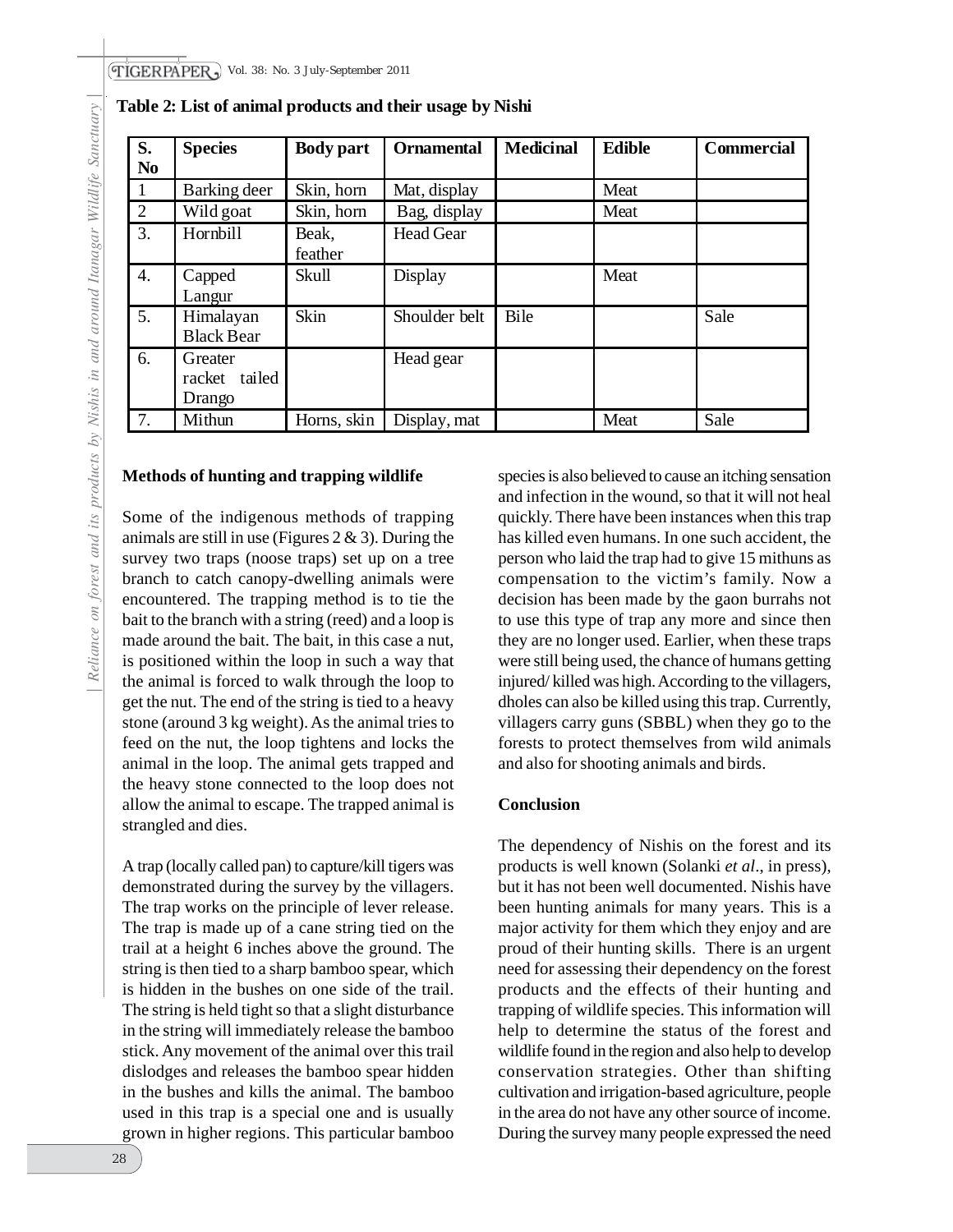| S.               | <b>Species</b>                     | <b>Body part</b> | <b>Ornamental</b> | <b>Medicinal</b> | <b>Edible</b> | <b>Commercial</b> |
|------------------|------------------------------------|------------------|-------------------|------------------|---------------|-------------------|
| N <sub>0</sub>   |                                    |                  |                   |                  |               |                   |
|                  | Barking deer                       | Skin, horn       | Mat, display      |                  | Meat          |                   |
| 2                | Wild goat                          | Skin, horn       | Bag, display      |                  | Meat          |                   |
| 3.               | Hornbill                           | Beak,<br>feather | <b>Head Gear</b>  |                  |               |                   |
| $\overline{4}$ . | Capped<br>Langur                   | Skull            | Display           |                  | Meat          |                   |
| 5.               | Himalayan<br><b>Black Bear</b>     | Skin             | Shoulder belt     | Bile             |               | Sale              |
| 6.               | Greater<br>racket tailed<br>Drango |                  | Head gear         |                  |               |                   |
| 7.               | Mithun                             | Horns, skin      | Display, mat      |                  | Meat          | Sale              |

**Table 2: List of animal products and their usage by Nishi** 

#### **Methods of hunting and trapping wildlife**

Some of the indigenous methods of trapping animals are still in use (Figures 2  $\&$  3). During the survey two traps (noose traps) set up on a tree branch to catch canopy-dwelling animals were encountered. The trapping method is to tie the bait to the branch with a string (reed) and a loop is made around the bait. The bait, in this case a nut, is positioned within the loop in such a way that the animal is forced to walk through the loop to get the nut. The end of the string is tied to a heavy stone (around  $3 \text{ kg weight}$ ). As the animal tries to feed on the nut, the loop tightens and locks the animal in the loop. The animal gets trapped and the heavy stone connected to the loop does not allow the animal to escape. The trapped animal is strangled and dies.

A trap (locally called pan) to capture/kill tigers was demonstrated during the survey by the villagers. The trap works on the principle of lever release. The trap is made up of a cane string tied on the trail at a height 6 inches above the ground. The string is then tied to a sharp bamboo spear, which is hidden in the bushes on one side of the trail. The string is held tight so that a slight disturbance in the string will immediately release the bamboo stick. Any movement of the animal over this trail dislodges and releases the bamboo spear hidden in the bushes and kills the animal. The bamboo used in this trap is a special one and is usually grown in higher regions. This particular bamboo

species is also believed to cause an itching sensation and infection in the wound, so that it will not heal quickly. There have been instances when this trap has killed even humans. In one such accident, the person who laid the trap had to give 15 mithuns as compensation to the victim's family. Now a decision has been made by the gaon burrahs not to use this type of trap any more and since then they are no longer used. Earlier, when these traps were still being used, the chance of humans getting injured/ killed was high. According to the villagers, dholes can also be killed using this trap. Currently, villagers carry guns (SBBL) when they go to the forests to protect themselves from wild animals and also for shooting animals and birds.

#### **Conclusion**

The dependency of Nishis on the forest and its products is well known (Solanki *et al*., in press), but it has not been well documented. Nishis have been hunting animals for many years. This is a major activity for them which they enjoy and are proud of their hunting skills. There is an urgent need for assessing their dependency on the forest products and the effects of their hunting and trapping of wildlife species. This information will help to determine the status of the forest and wildlife found in the region and also help to develop conservation strategies. Other than shifting cultivation and irrigation-based agriculture, people in the area do not have any other source of income. During the survey many people expressed the need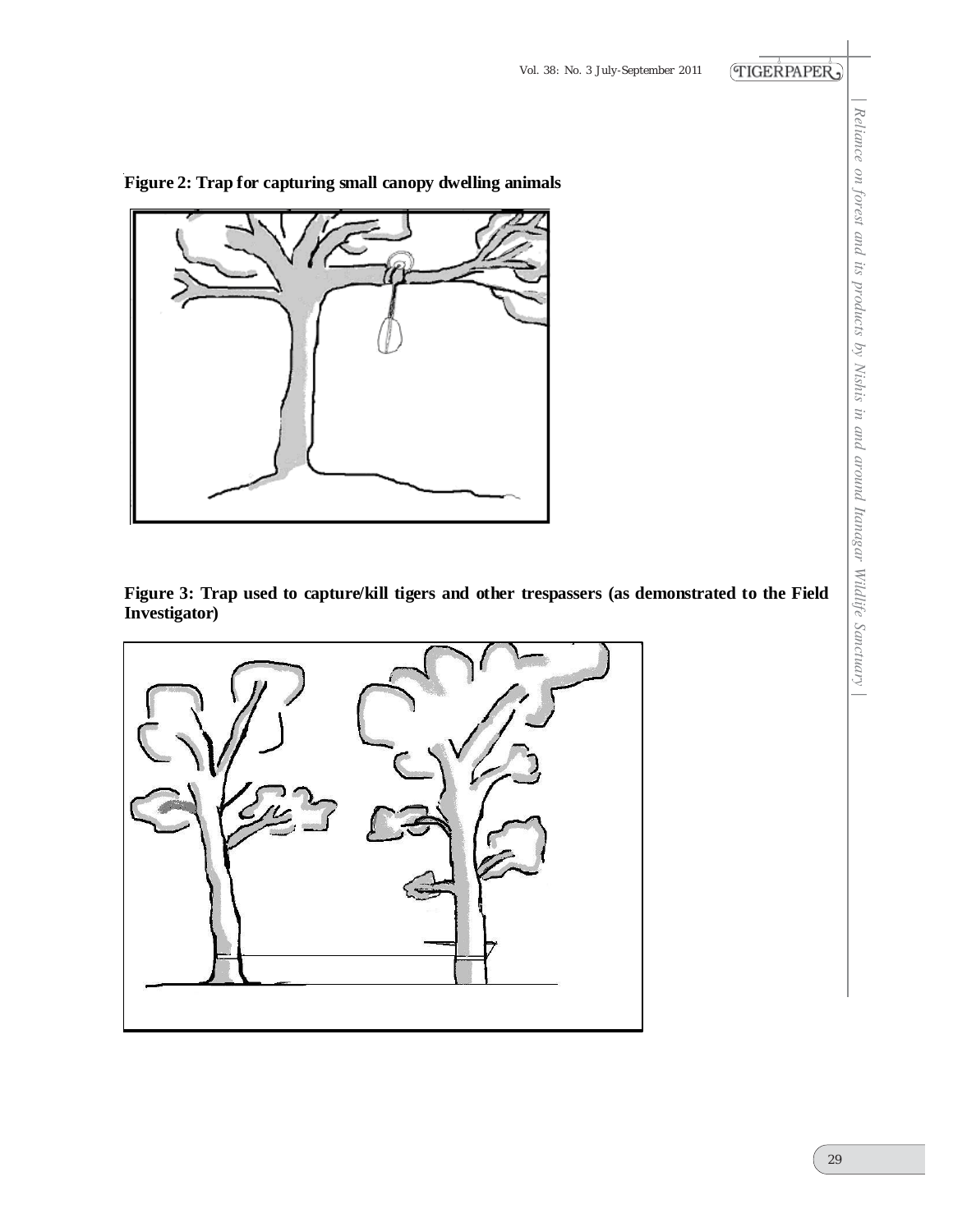

**Figure 2: Trap for capturing small canopy dwelling animals** 

**Figure 3: Trap used to capture/kill tigers and other trespassers (as demonstrated to the Field Investigator)**